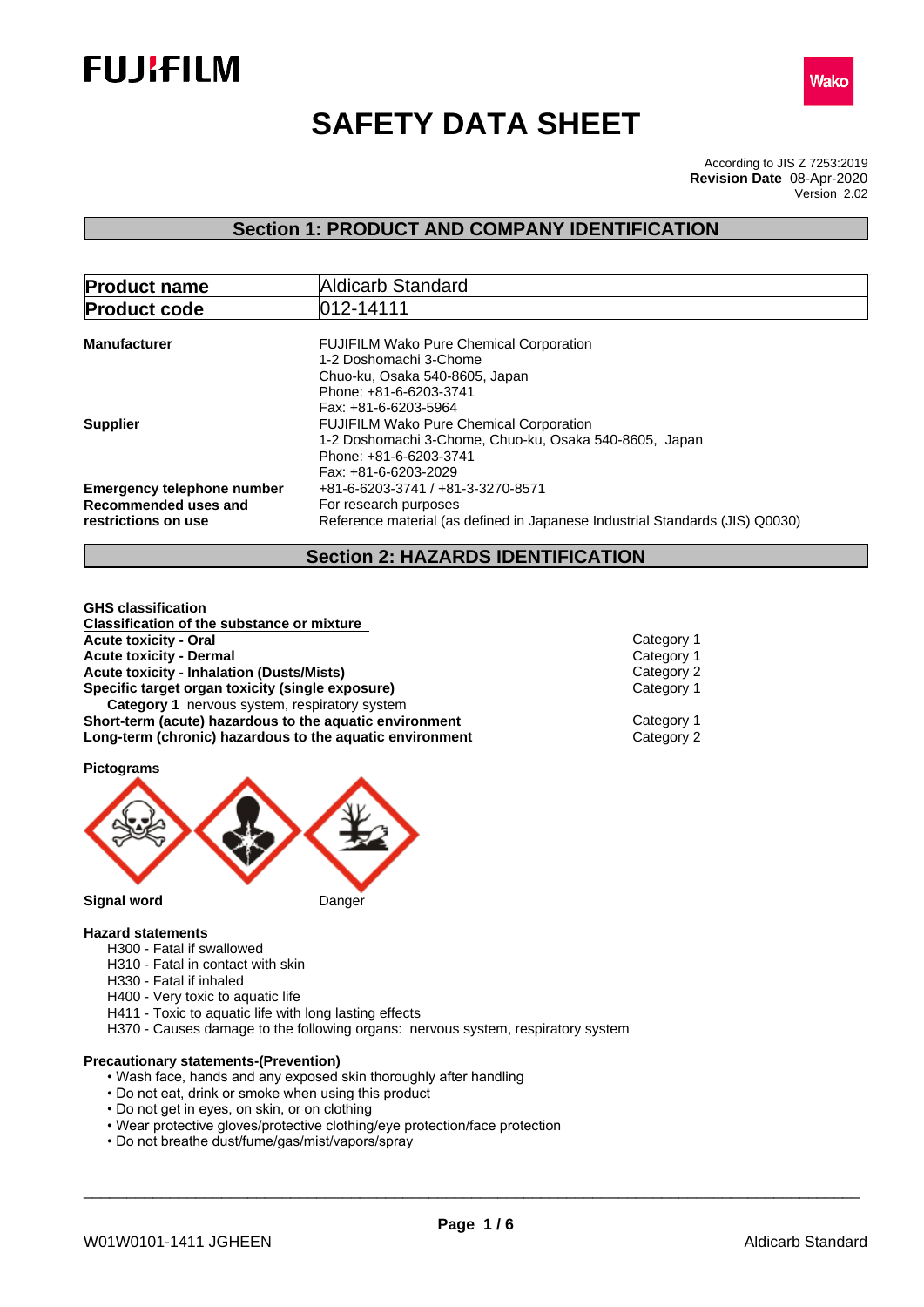



# **SAFETY DATA SHEET**

According to JIS Z 7253:2019 Version 2.02 **Revision Date** 08-Apr-2020

# **Section 1: PRODUCT AND COMPANY IDENTIFICATION**

| <b>Product name</b>                                  | Aldicarb Standard                                                              |  |
|------------------------------------------------------|--------------------------------------------------------------------------------|--|
| <b>Product code</b>                                  | 012-14111                                                                      |  |
| <b>Manufacturer</b>                                  | <b>FUJIFILM Wako Pure Chemical Corporation</b><br>1-2 Doshomachi 3-Chome       |  |
|                                                      | Chuo-ku, Osaka 540-8605, Japan<br>Phone: +81-6-6203-3741                       |  |
|                                                      | <b>FUJIFILM Wako Pure Chemical Corporation</b>                                 |  |
|                                                      | Phone: +81-6-6203-3741<br>Fax: +81-6-6203-2029                                 |  |
|                                                      | +81-6-6203-3741 / +81-3-3270-8571                                              |  |
| Recommended uses and                                 | For research purposes                                                          |  |
| restrictions on use                                  | Reference material (as defined in Japanese Industrial Standards (JIS) Q0030)   |  |
| <b>Supplier</b><br><b>Emergency telephone number</b> | Fax: +81-6-6203-5964<br>1-2 Doshomachi 3-Chome, Chuo-ku, Osaka 540-8605, Japan |  |

# **Section 2: HAZARDS IDENTIFICATION**

**GHS classification Classification of the substance or mixture Acute toxicity - Oral** Category 1 **Acute toxicity - Dermal** Category 1<br> **Acute toxicity - Inhalation (Dusts/Mists)**<br>
Category 2 **Acute toxicity - Inhalation (Dusts/Mists)**<br> **Specific target organ toxicity (single exposure)** Category 1 **Specific target organ toxicity (single exposure) Category 1** nervous system, respiratory system **Short-term (acute)** hazardous to the aquatic environment Category 1 **Long-term (chronic) hazardous to the aquatic environment** Category 2

**Pictograms**



#### **Signal word** Danger

#### **Hazard statements**

- H300 Fatal if swallowed
- H310 Fatal in contact with skin
- H330 Fatal if inhaled
- H400 Very toxic to aquatic life
- H411 Toxic to aquatic life with long lasting effects
- H370 Causes damage to the following organs: nervous system, respiratory system

# **Precautionary statements-(Prevention)**

- Wash face, hands and any exposed skin thoroughly after handling
- Do not eat, drink or smoke when using this product
- Do not get in eyes, on skin, or on clothing
- Wear protective gloves/protective clothing/eye protection/face protection
- Do not breathe dust/fume/gas/mist/vapors/spray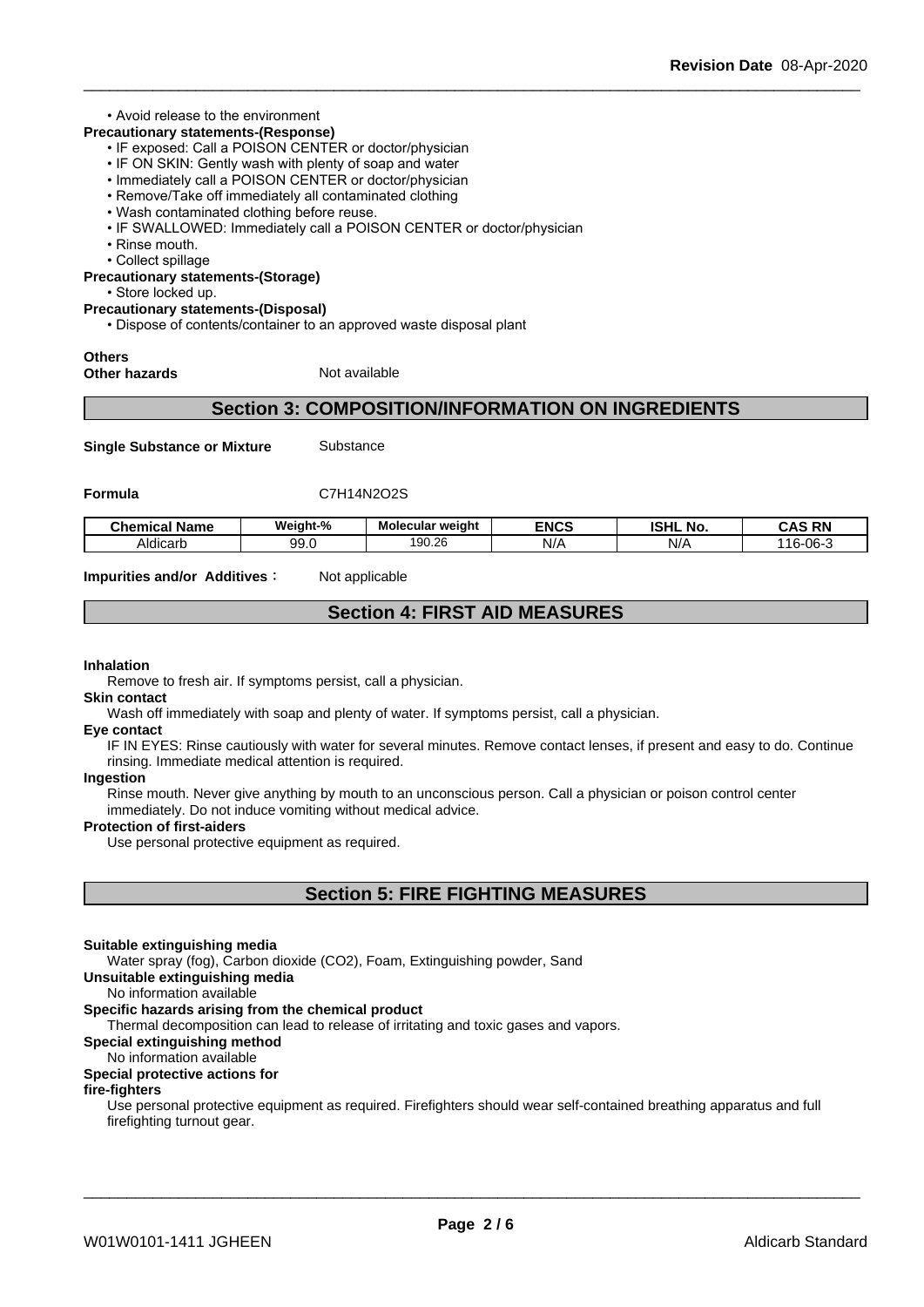#### • Avoid release to the environment

# **Precautionary statements-(Response)**

- IF exposed: Call a POISON CENTER or doctor/physician
- IF ON SKIN: Gently wash with plenty of soap and water
- Immediately call a POISON CENTER or doctor/physician
- Remove/Take off immediately all contaminated clothing
- Wash contaminated clothing before reuse.
- IF SWALLOWED: Immediately call a POISON CENTER or doctor/physician
- Rinse mouth.
- Collect spillage
- **Precautionary statements-(Storage)**

• Store locked up.

#### **Precautionary statements-(Disposal)**

• Dispose of contents/container to an approved waste disposal plant

### **Others**

**Other hazards** Not available

### **Section 3: COMPOSITION/INFORMATION ON INGREDIENTS**

**Single Substance or Mixture** Substance

#### **Formula** C7H14N2O2S

| <b>Chemical Name</b> | <br><b>Neight-%</b> | Molecular weight | <b>ENCS</b> | וניסו<br>NO.<br>וחסו | <b>RN</b><br>CAS             |
|----------------------|---------------------|------------------|-------------|----------------------|------------------------------|
| .<br>Aldicart        | 99.0                | 190.26           | N/t         | N/r                  | 06.<br>$\overline{ }$<br>۱б۰ |

**Impurities and/or Additives**: Not applicable

# **Section 4: FIRST AID MEASURES**

#### **Inhalation**

Remove to fresh air. If symptoms persist, call a physician.

**Skin contact** Wash off immediately with soap and plenty of water. If symptoms persist, calla physician.

#### **Eye contact**

IF IN EYES: Rinse cautiously with water for several minutes. Remove contact lenses, if present and easy to do. Continue rinsing. Immediate medical attention is required.

#### **Ingestion**

Rinse mouth. Never give anything by mouth to an unconscious person. Call a physician or poison control center immediately. Do not induce vomiting without medical advice.

#### **Protection of first-aiders**

Use personal protective equipment as required.

# **Section 5: FIRE FIGHTING MEASURES**

#### **Suitable extinguishing media**

Water spray (fog), Carbon dioxide (CO2), Foam, Extinguishing powder, Sand

**Unsuitable extinguishing media**

No information available

#### **Specific hazards arising from the chemical product**

Thermal decomposition can lead to release of irritating and toxic gases and vapors.

#### **Special extinguishing method**

#### No information available

#### **Special protective actions for**

#### **fire-fighters**

Use personal protective equipment as required.Firefighters should wear self-contained breathing apparatus and full firefighting turnout gear.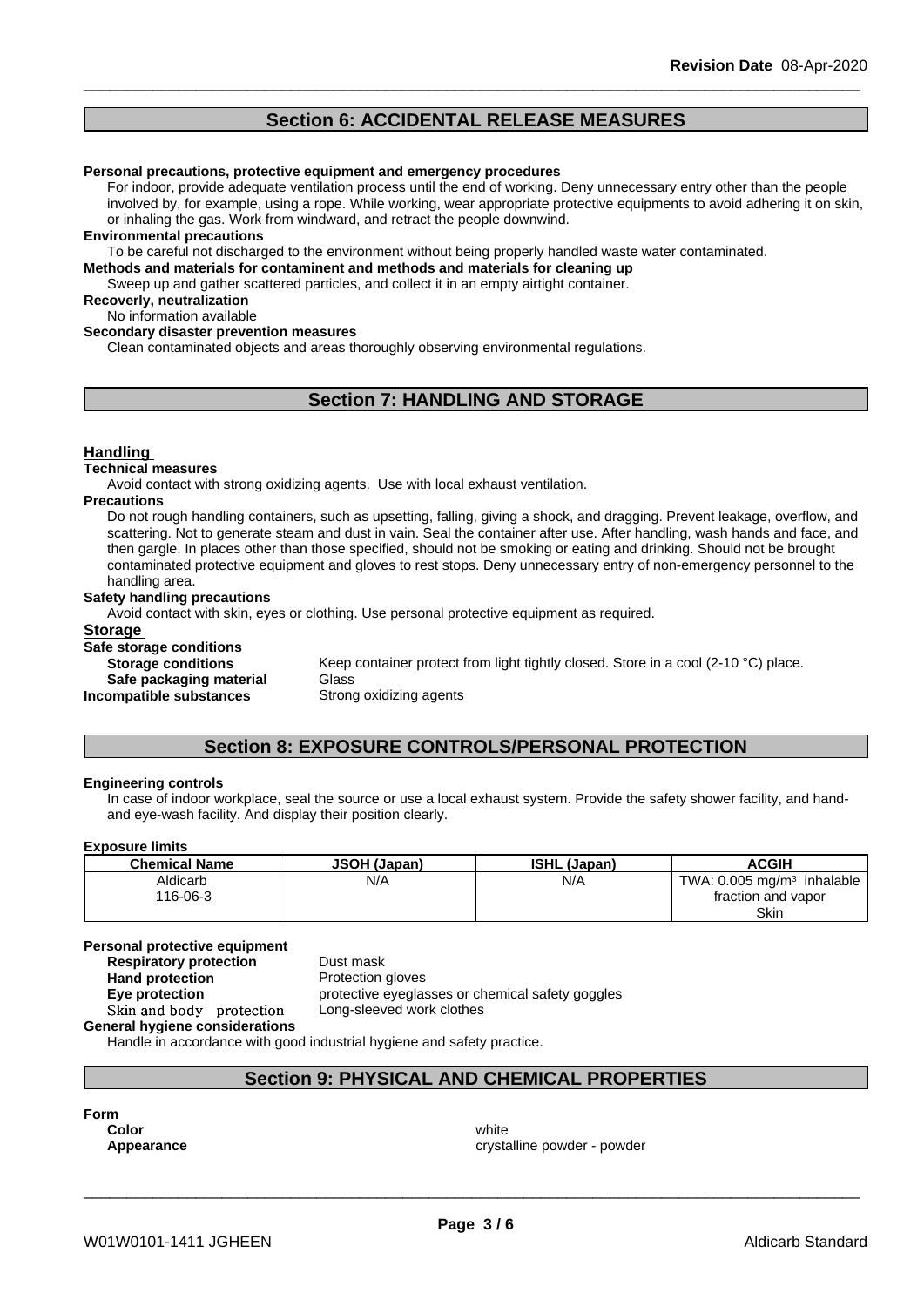# **Section 6: ACCIDENTAL RELEASE MEASURES**

#### **Personal precautions, protective equipment and emergency procedures**

For indoor, provide adequate ventilation process until the end of working. Deny unnecessary entry other than the people involved by, for example, using a rope. While working, wear appropriate protective equipments to avoid adhering it on skin, or inhaling the gas. Work from windward, and retract the people downwind.

#### **Environmental precautions**

To be careful not discharged to the environment without being properly handled waste water contaminated.

**Methods and materials for contaminent and methods and materials for cleaning up**

Sweep up and gather scattered particles, and collect it in an empty airtight container.

#### **Recoverly, neutralization**

No information available

#### **Secondary disaster prevention measures**

Clean contaminated objects and areas thoroughly observing environmental regulations.

# **Section 7: HANDLING AND STORAGE**

#### **Handling**

#### **Technical measures**

Avoid contact with strong oxidizing agents. Use with local exhaust ventilation.

#### **Precautions**

Do not rough handling containers, such as upsetting, falling, giving a shock, and dragging. Prevent leakage, overflow, and scattering. Not to generate steam and dust in vain. Seal the container after use. After handling, wash hands and face, and then gargle. In places other than those specified, should not be smoking or eating and drinking. Should not be brought contaminated protective equipment and gloves to rest stops. Deny unnecessary entry of non-emergency personnel to the handling area.

#### **Safety handling precautions**

Avoid contact with skin, eyes or clothing. Use personal protective equipment as required.

| <b>Storage</b>            |                                                                                    |
|---------------------------|------------------------------------------------------------------------------------|
| Safe storage conditions   |                                                                                    |
| <b>Storage conditions</b> | Keep container protect from light tightly closed. Store in a cool (2-10 °C) place. |
| Safe packaging material   | Glass                                                                              |
| Incompatible substances   | Strong oxidizing agents                                                            |
|                           |                                                                                    |

# **Section 8: EXPOSURE CONTROLS/PERSONAL PROTECTION**

#### **Engineering controls**

In case of indoor workplace, seal the source or use a local exhaust system. Provide the safety shower facility, and handand eye-wash facility. And display their position clearly.

#### **Exposure limits**

| <b>Chemical Name</b> | <b>JSOH (Japan)</b> | <b>ISHL (Japan)</b> | <b>ACGIH</b>                             |
|----------------------|---------------------|---------------------|------------------------------------------|
| Aldicarb             | N/A                 | N/A                 | TWA: $0.005 \text{ mg/m}^3$<br>inhalable |
| 116-06-3             |                     |                     | fraction and vapor                       |
|                      |                     |                     | Skin                                     |

#### **Personal protective equipment**

**Respiratory protection** Dust mask **Hand protection**<br> **Eye protection**<br> **Eye protection**<br> **Exercise protective eyeglas General hygiene considerations**

**Eye protection** protective eyeglasses or chemical safety goggles **Skinandbody protection** Long-sleeved work clothes

Handle in accordance with good industrial hygiene and safety practice.

## **Section 9: PHYSICAL AND CHEMICAL PROPERTIES**

**Form**

**Color** white the color of the color white the color of the color of the color of the color of the color of the color **Appearance crystalline powder - powder**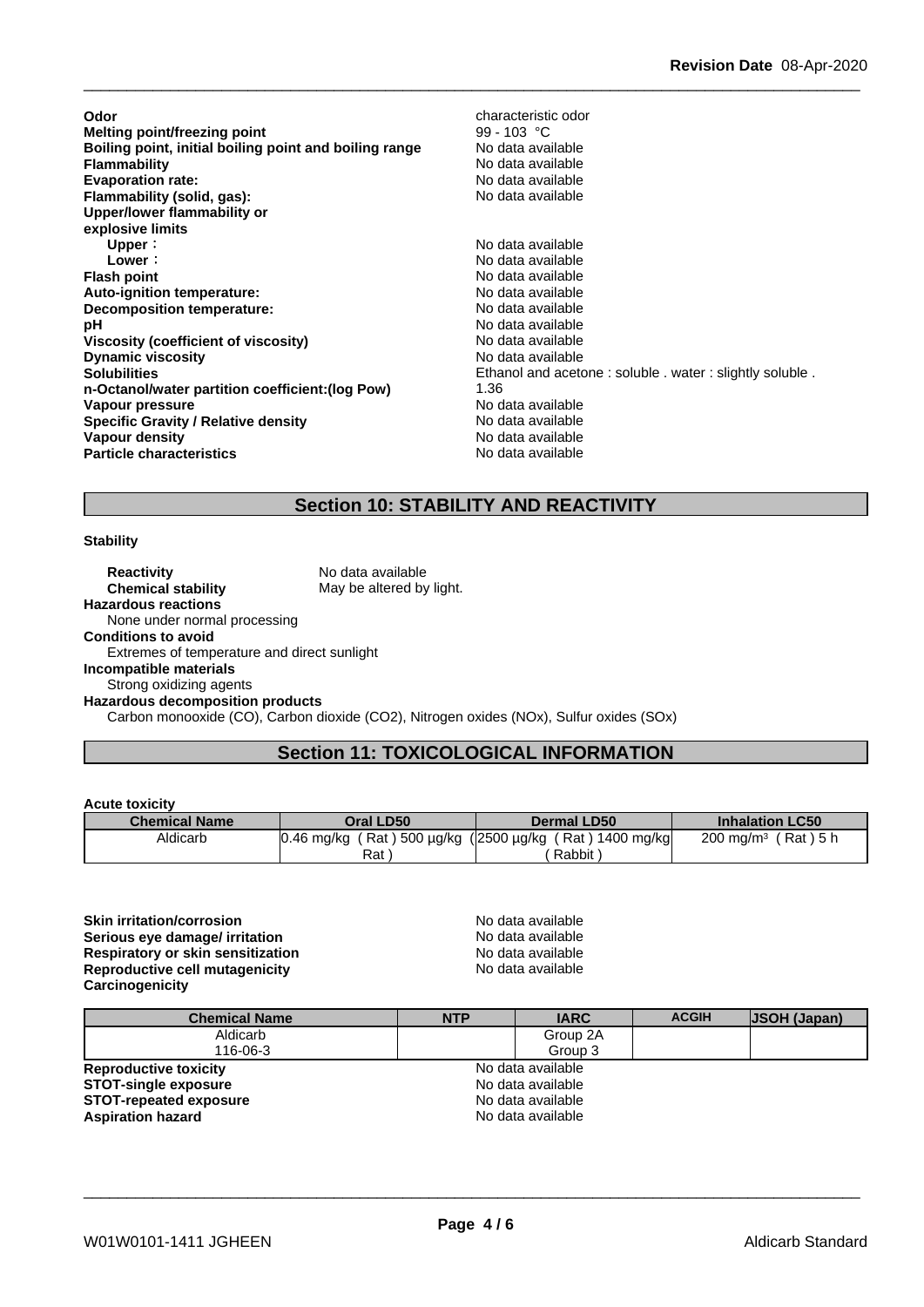| Odor                                                   | characteristic odor                                     |
|--------------------------------------------------------|---------------------------------------------------------|
| Melting point/freezing point                           | 99 - 103 °C                                             |
| Boiling point, initial boiling point and boiling range | No data available                                       |
| <b>Flammability</b>                                    | No data available                                       |
| <b>Evaporation rate:</b>                               | No data available                                       |
| Flammability (solid, gas):                             | No data available                                       |
| Upper/lower flammability or                            |                                                         |
| explosive limits                                       |                                                         |
| Upper:                                                 | No data available                                       |
| Lower:                                                 | No data available                                       |
| <b>Flash point</b>                                     | No data available                                       |
| Auto-ignition temperature:                             | No data available                                       |
| Decomposition temperature:                             | No data available                                       |
| рH                                                     | No data available                                       |
| Viscosity (coefficient of viscosity)                   | No data available                                       |
| <b>Dynamic viscosity</b>                               | No data available                                       |
| <b>Solubilities</b>                                    | Ethanol and acetone: soluble . water: slightly soluble. |
| n-Octanol/water partition coefficient: (log Pow)       | 1.36                                                    |
| Vapour pressure                                        | No data available                                       |
| <b>Specific Gravity / Relative density</b>             | No data available                                       |
| Vapour density                                         | No data available                                       |
| <b>Particle characteristics</b>                        | No data available                                       |

# **Section 10: STABILITY AND REACTIVITY**

#### **Stability**

**Reactivity** No data available<br> **Chemical stability** May be altered by May be altered by light. **Hazardous reactions** None under normal processing **Conditions to avoid** Extremes of temperature and direct sunlight **Incompatible materials** Strong oxidizing agents **Hazardous decomposition products** Carbon monooxide (CO), Carbon dioxide (CO2), Nitrogen oxides (NOx), Sulfur oxides (SOx)

# **Section 11: TOXICOLOGICAL INFORMATION**

#### **Acute toxicity**

| .                    |                                             |                       |                                  |
|----------------------|---------------------------------------------|-----------------------|----------------------------------|
| <b>Chemical Name</b> | Oral LD50                                   | Dermal LD50           | <b>Inhalation LC50</b>           |
| Aldicarb             | (Rat) 500 µg/kg (2500 µg/kg (<br>0.46 mg/kg | 1400 mg/kg<br>์ Rat ) | (Rat)5 h<br>$200 \text{ ma/m}^3$ |
|                      | Rat                                         | Rabbit                |                                  |

**Skin irritation/corrosion** No data available **Serious eye damage/ irritation example 10** No data available **Respiratory or skin sensitization**<br> **Reproductive cell mutagenicity**<br>
No data available **Reproductive cell mutagenicity Carcinogenicity**

| <b>Chemical Name</b>          | <b>NTP</b> | <b>IARC</b>       | <b>ACGIH</b> | <b>JSOH (Japan)</b> |
|-------------------------------|------------|-------------------|--------------|---------------------|
| Aldicarb                      |            | Group 2A          |              |                     |
| 116-06-3                      |            | Group 3           |              |                     |
| <b>Reproductive toxicity</b>  |            | No data available |              |                     |
| <b>STOT-single exposure</b>   |            | No data available |              |                     |
| <b>STOT-repeated exposure</b> |            | No data available |              |                     |
| <b>Aspiration hazard</b>      |            | No data available |              |                     |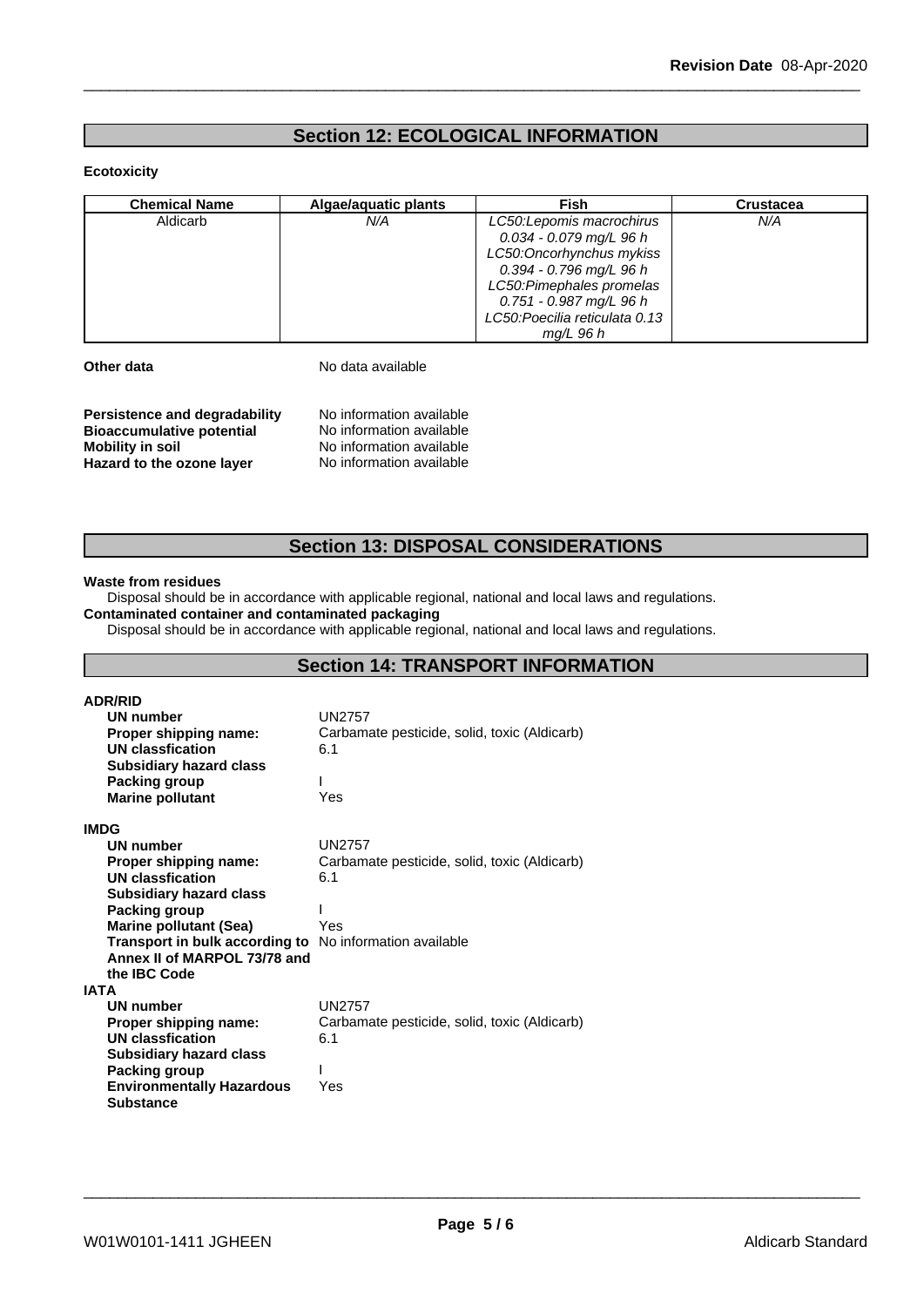# **Section 12: ECOLOGICAL INFORMATION**

#### **Ecotoxicity**

| <b>Chemical Name</b> | Algae/aguatic plants | Fish                           | <b>Crustacea</b> |
|----------------------|----------------------|--------------------------------|------------------|
| Aldicarb             | N/A                  | LC50: Lepomis macrochirus      | N/A              |
|                      |                      | 0.034 - 0.079 mg/L 96 h        |                  |
|                      |                      | LC50: Oncorhynchus mykiss      |                  |
|                      |                      | 0.394 - 0.796 mg/L 96 h        |                  |
|                      |                      | LC50: Pimephales promelas      |                  |
|                      |                      | 0.751 - 0.987 mg/L 96 h        |                  |
|                      |                      | LC50: Poecilia reticulata 0.13 |                  |
|                      |                      | $mq/L$ 96 h                    |                  |

**Other data** No data available

| Persistence and degradability    | No information available |  |
|----------------------------------|--------------------------|--|
| <b>Bioaccumulative potential</b> | No information available |  |
| Mobility in soil                 | No information available |  |
| Hazard to the ozone layer        | No information available |  |

## **Section 13: DISPOSAL CONSIDERATIONS**

#### **Waste from residues**

Disposal should be in accordance with applicable regional, national and local laws and regulations. **Contaminated container and contaminated packaging**

Disposal should be in accordance with applicable regional, national and local laws and regulations.

# **Section 14: TRANSPORT INFORMATION**

| <b>ADR/RID</b>                   |                                              |
|----------------------------------|----------------------------------------------|
| UN number                        | <b>UN2757</b>                                |
| Proper shipping name:            | Carbamate pesticide, solid, toxic (Aldicarb) |
| <b>UN classfication</b>          | 6.1                                          |
| <b>Subsidiary hazard class</b>   |                                              |
| <b>Packing group</b>             |                                              |
| <b>Marine pollutant</b>          | Yes                                          |
| <b>IMDG</b>                      |                                              |
| UN number                        | UN2757                                       |
| Proper shipping name:            | Carbamate pesticide, solid, toxic (Aldicarb) |
| <b>UN classfication</b>          | 6.1                                          |
| <b>Subsidiary hazard class</b>   |                                              |
| Packing group                    |                                              |
| <b>Marine pollutant (Sea)</b>    | Yes                                          |
| Transport in bulk according to   | No information available                     |
| Annex II of MARPOL 73/78 and     |                                              |
| the <b>IBC</b> Code              |                                              |
| IATA                             |                                              |
| UN number                        | <b>UN2757</b>                                |
| Proper shipping name:            | Carbamate pesticide, solid, toxic (Aldicarb) |
| <b>UN classfication</b>          | 6.1                                          |
| <b>Subsidiary hazard class</b>   |                                              |
| Packing group                    |                                              |
| <b>Environmentally Hazardous</b> | Yes                                          |
| <b>Substance</b>                 |                                              |